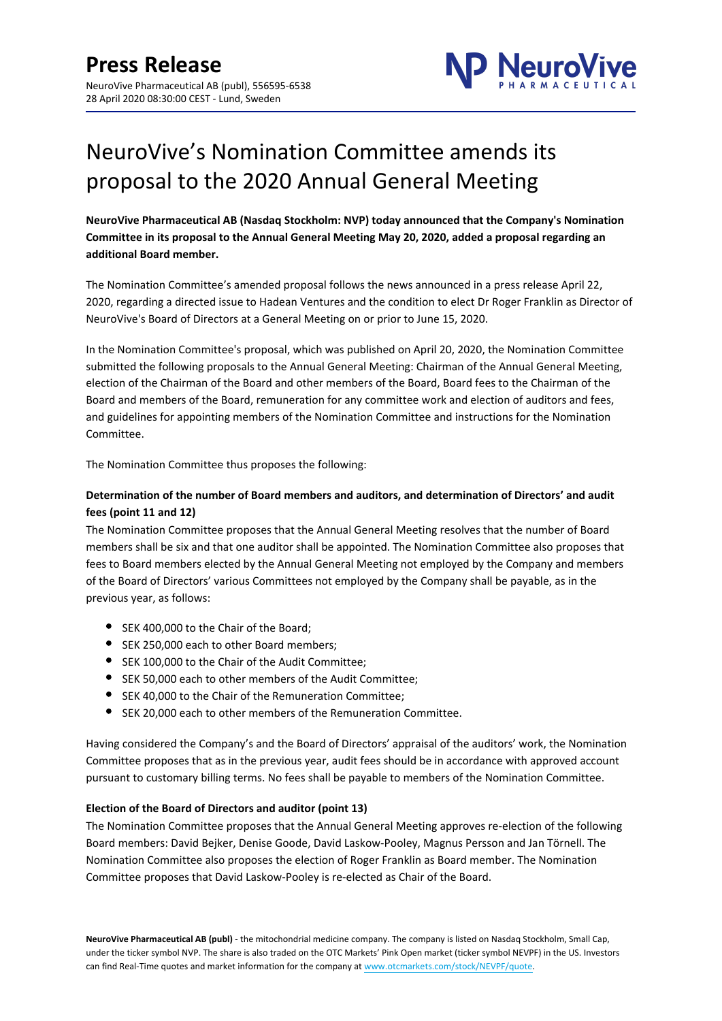

# NeuroVive's Nomination Committee amends its proposal to the 2020 Annual General Meeting

**NeuroVive Pharmaceutical AB (Nasdaq Stockholm: NVP) today announced that the Company's Nomination Committee in its proposal to the Annual General Meeting May 20, 2020, added a proposal regarding an additional Board member.**

The Nomination Committee's amended proposal follows the news announced in a press release April 22, 2020, regarding a directed issue to Hadean Ventures and the condition to elect Dr Roger Franklin as Director of NeuroVive's Board of Directors at a General Meeting on or prior to June 15, 2020.

In the Nomination Committee's proposal, which was published on April 20, 2020, the Nomination Committee submitted the following proposals to the Annual General Meeting: Chairman of the Annual General Meeting, election of the Chairman of the Board and other members of the Board, Board fees to the Chairman of the Board and members of the Board, remuneration for any committee work and election of auditors and fees, and guidelines for appointing members of the Nomination Committee and instructions for the Nomination Committee.

The Nomination Committee thus proposes the following:

# **Determination of the number of Board members and auditors, and determination of Directors' and audit fees (point 11 and 12)**

The Nomination Committee proposes that the Annual General Meeting resolves that the number of Board members shall be six and that one auditor shall be appointed. The Nomination Committee also proposes that fees to Board members elected by the Annual General Meeting not employed by the Company and members of the Board of Directors' various Committees not employed by the Company shall be payable, as in the previous year, as follows:

- SEK 400,000 to the Chair of the Board;
- **SEK 250,000 each to other Board members;**
- SEK 100,000 to the Chair of the Audit Committee;
- SEK 50,000 each to other members of the Audit Committee;
- SEK 40,000 to the Chair of the Remuneration Committee;
- SEK 20,000 each to other members of the Remuneration Committee.

Having considered the Company's and the Board of Directors' appraisal of the auditors' work, the Nomination Committee proposes that as in the previous year, audit fees should be in accordance with approved account pursuant to customary billing terms. No fees shall be payable to members of the Nomination Committee.

## **Election of the Board of Directors and auditor (point 13)**

The Nomination Committee proposes that the Annual General Meeting approves re-election of the following Board members: David Bejker, Denise Goode, David Laskow-Pooley, Magnus Persson and Jan Törnell. The Nomination Committee also proposes the election of Roger Franklin as Board member. The Nomination Committee proposes that David Laskow-Pooley is re-elected as Chair of the Board.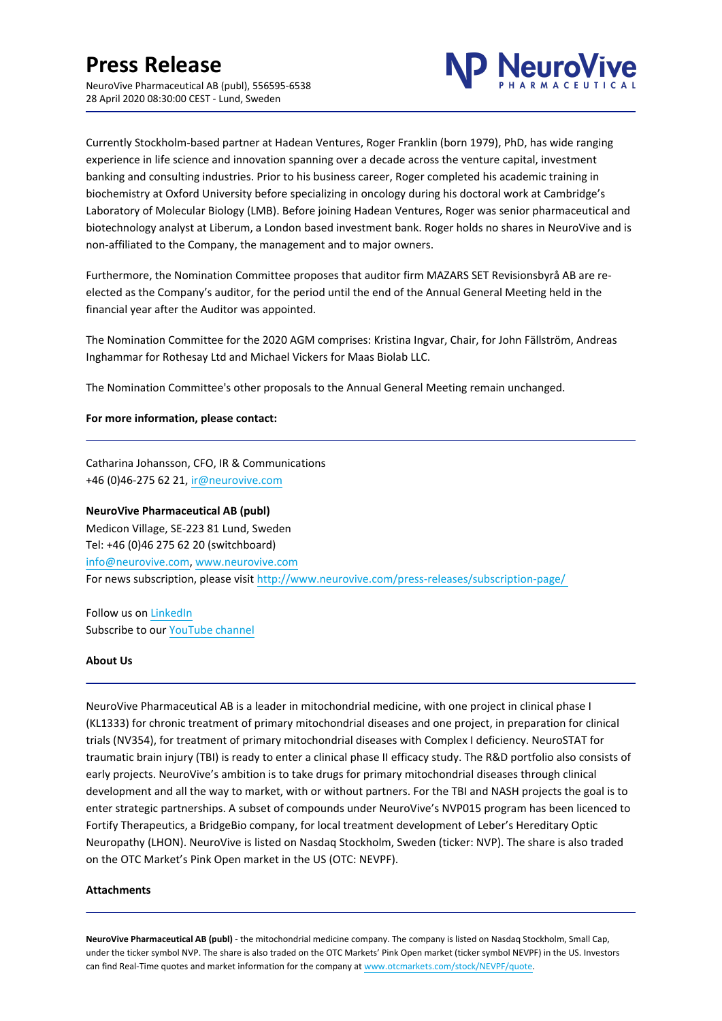

Currently Stockholm-based partner at Hadean Ventures, Roger Franklin (born 1979), PhD, has wide ranging experience in life science and innovation spanning over a decade across the venture capital, investment banking and consulting industries. Prior to his business career, Roger completed his academic training in biochemistry at Oxford University before specializing in oncology during his doctoral work at Cambridge's Laboratory of Molecular Biology (LMB). Before joining Hadean Ventures, Roger was senior pharmaceutical and biotechnology analyst at Liberum, a London based investment bank. Roger holds no shares in NeuroVive and is non-affiliated to the Company, the management and to major owners.

Furthermore, the Nomination Committee proposes that auditor firm MAZARS SET Revisionsbyrå AB are reelected as the Company's auditor, for the period until the end of the Annual General Meeting held in the financial year after the Auditor was appointed.

The Nomination Committee for the 2020 AGM comprises: Kristina Ingvar, Chair, for John Fällström, Andreas Inghammar for Rothesay Ltd and Michael Vickers for Maas Biolab LLC.

The Nomination Committee's other proposals to the Annual General Meeting remain unchanged.

### **For more information, please contact:**

Catharina Johansson, CFO, IR & Communications +46 (0)46-275 62 21, ir@neurovive.com

## **NeuroVive Pharmaceutical AB (publ)**

Medicon Village, SE-223 81 Lund, Sweden Tel: +46 (0)46 275 62 20 (switchboard) info@neurovive.com, [www.neurovive.com](http://www.neurovive.com/) For news subscription, please visit [http://www.neurovive.com/press-releases/subscription-page/](http://www.neurovive.com/press-releases/subscription-page/%20) 

Follow us on [LinkedIn](https://se.linkedin.com/company/neurovive-pharmaceutical-ab-ntp-) Subscribe to our [YouTube channel](https://www.youtube.com/channel/UChqP7Ky5caXtp72CELhD6Mg/featured)

### **About Us**

NeuroVive Pharmaceutical AB is a leader in mitochondrial medicine, with one project in clinical phase I (KL1333) for chronic treatment of primary mitochondrial diseases and one project, in preparation for clinical trials (NV354), for treatment of primary mitochondrial diseases with Complex I deficiency. NeuroSTAT for traumatic brain injury (TBI) is ready to enter a clinical phase II efficacy study. The R&D portfolio also consists of early projects. NeuroVive's ambition is to take drugs for primary mitochondrial diseases through clinical development and all the way to market, with or without partners. For the TBI and NASH projects the goal is to enter strategic partnerships. A subset of compounds under NeuroVive's NVP015 program has been licenced to Fortify Therapeutics, a BridgeBio company, for local treatment development of Leber's Hereditary Optic Neuropathy (LHON). NeuroVive is listed on Nasdaq Stockholm, Sweden (ticker: NVP). The share is also traded on the OTC Market's Pink Open market in the US (OTC: NEVPF).

### **Attachments**

**NeuroVive Pharmaceutical AB (publ)** - the mitochondrial medicine company. The company is listed on Nasdaq Stockholm, Small Cap, under the ticker symbol NVP. The share is also traded on the OTC Markets' Pink Open market (ticker symbol NEVPF) in the US. Investors can find Real-Time quotes and market information for the company at [www.otcmarkets.com/stock/NEVPF/quote](https://www.otcmarkets.com/stock/NEVPF/quote).